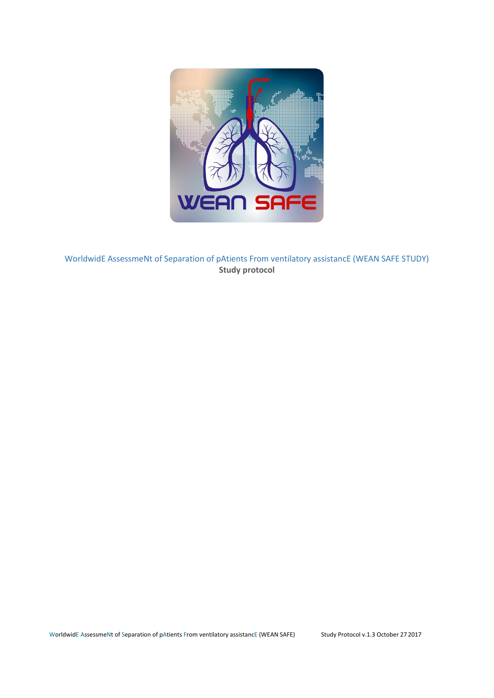

WorldwidE AssessmeNt of Separation of pAtients From ventilatory assistancE (WEAN SAFE STUDY) **Study protocol**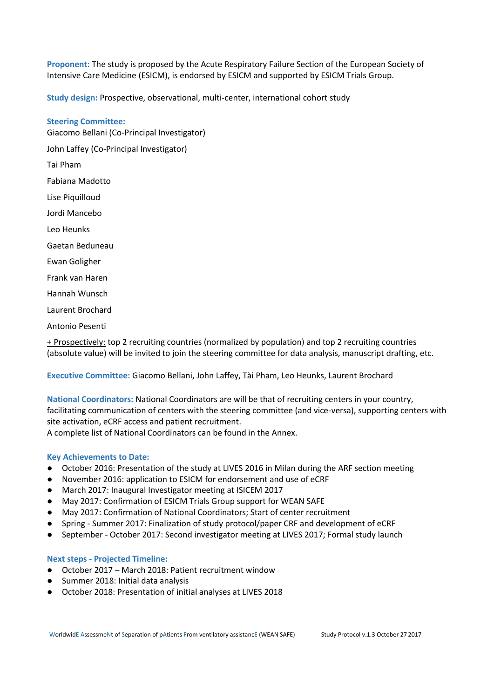**Proponent:** The study is proposed by the Acute Respiratory Failure Section of the European Society of Intensive Care Medicine (ESICM), is endorsed by ESICM and supported by ESICM Trials Group.

**Study design:** Prospective, observational, multi-center, international cohort study

# **Steering Committee:**

Giacomo Bellani (Co-Principal Investigator) John Laffey (Co-Principal Investigator)

Tai Pham

Fabiana Madotto

Lise Piquilloud

Jordi Mancebo

Leo Heunks

- Gaetan Beduneau
- Ewan Goligher
- Frank van Haren
- Hannah Wunsch
- Laurent Brochard
- Antonio Pesenti

+ Prospectively: top 2 recruiting countries (normalized by population) and top 2 recruiting countries (absolute value) will be invited to join the steering committee for data analysis, manuscript drafting, etc.

**Executive Committee:** Giacomo Bellani, John Laffey, Tài Pham, Leo Heunks, Laurent Brochard

**National Coordinators:** National Coordinators are will be that of recruiting centers in your country, facilitating communication of centers with the steering committee (and vice-versa), supporting centers with site activation, eCRF access and patient recruitment.

A complete list of National Coordinators can be found in the Annex.

# **Key Achievements to Date:**

- October 2016: Presentation of the study at LIVES 2016 in Milan during the ARF section meeting
- November 2016: application to ESICM for endorsement and use of eCRF
- March 2017: Inaugural Investigator meeting at ISICEM 2017
- May 2017: Confirmation of ESICM Trials Group support for WEAN SAFE
- May 2017: Confirmation of National Coordinators; Start of center recruitment
- Spring Summer 2017: Finalization of study protocol/paper CRF and development of eCRF
- September October 2017: Second investigator meeting at LIVES 2017; Formal study launch

# **Next steps - Projected Timeline:**

- October 2017 March 2018: Patient recruitment window
- Summer 2018: Initial data analysis
- October 2018: Presentation of initial analyses at LIVES 2018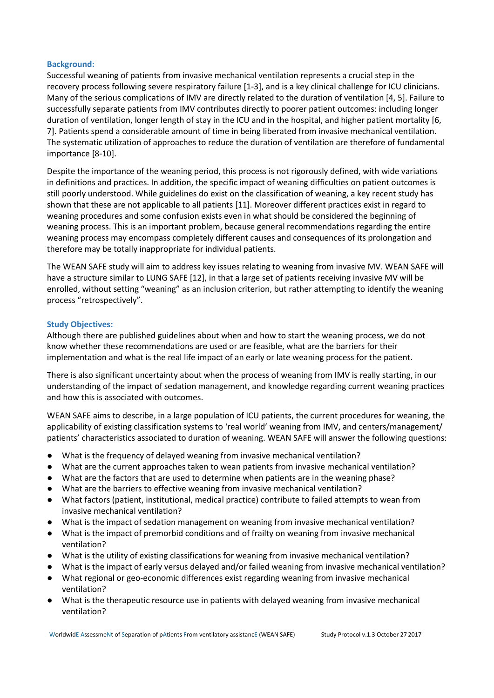## **Background:**

Successful weaning of patients from invasive mechanical ventilation represents a crucial step in the recovery process following severe respiratory failure [1-3], and is a key clinical challenge for ICU clinicians. Many of the serious complications of IMV are directly related to the duration of ventilation [4, 5]. Failure to successfully separate patients from IMV contributes directly to poorer patient outcomes: including longer duration of ventilation, longer length of stay in the ICU and in the hospital, and higher patient mortality [6, 7]. Patients spend a considerable amount of time in being liberated from invasive mechanical ventilation. The systematic utilization of approaches to reduce the duration of ventilation are therefore of fundamental importance [8-10].

Despite the importance of the weaning period, this process is not rigorously defined, with wide variations in definitions and practices. In addition, the specific impact of weaning difficulties on patient outcomes is still poorly understood. While guidelines do exist on the classification of weaning, a key recent study has shown that these are not applicable to all patients [11]. Moreover different practices exist in regard to weaning procedures and some confusion exists even in what should be considered the beginning of weaning process. This is an important problem, because general recommendations regarding the entire weaning process may encompass completely different causes and consequences of its prolongation and therefore may be totally inappropriate for individual patients.

The WEAN SAFE study will aim to address key issues relating to weaning from invasive MV. WEAN SAFE will have a structure similar to LUNG SAFE [12], in that a large set of patients receiving invasive MV will be enrolled, without setting "weaning" as an inclusion criterion, but rather attempting to identify the weaning process "retrospectively".

# **Study Objectives:**

Although there are published guidelines about when and how to start the weaning process, we do not know whether these recommendations are used or are feasible, what are the barriers for their implementation and what is the real life impact of an early or late weaning process for the patient.

There is also significant uncertainty about when the process of weaning from IMV is really starting, in our understanding of the impact of sedation management, and knowledge regarding current weaning practices and how this is associated with outcomes.

WEAN SAFE aims to describe, in a large population of ICU patients, the current procedures for weaning, the applicability of existing classification systems to 'real world' weaning from IMV, and centers/management/ patients' characteristics associated to duration of weaning. WEAN SAFE will answer the following questions:

- What is the frequency of delayed weaning from invasive mechanical ventilation?
- What are the current approaches taken to wean patients from invasive mechanical ventilation?
- What are the factors that are used to determine when patients are in the weaning phase?
- What are the barriers to effective weaning from invasive mechanical ventilation?
- What factors (patient, institutional, medical practice) contribute to failed attempts to wean from invasive mechanical ventilation?
- What is the impact of sedation management on weaning from invasive mechanical ventilation?
- What is the impact of premorbid conditions and of frailty on weaning from invasive mechanical ventilation?
- What is the utility of existing classifications for weaning from invasive mechanical ventilation?
- What is the impact of early versus delayed and/or failed weaning from invasive mechanical ventilation?
- What regional or geo-economic differences exist regarding weaning from invasive mechanical ventilation?
- What is the therapeutic resource use in patients with delayed weaning from invasive mechanical ventilation?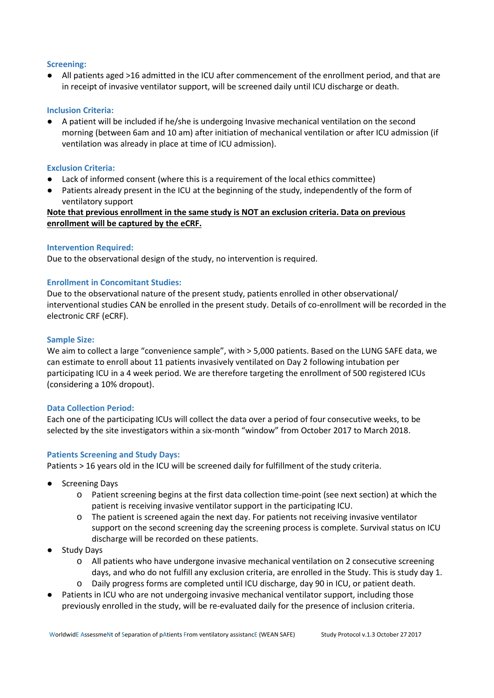# **Screening:**

● All patients aged >16 admitted in the ICU after commencement of the enrollment period, and that are in receipt of invasive ventilator support, will be screened daily until ICU discharge or death.

## **Inclusion Criteria:**

● A patient will be included if he/she is undergoing Invasive mechanical ventilation on the second morning (between 6am and 10 am) after initiation of mechanical ventilation or after ICU admission (if ventilation was already in place at time of ICU admission).

### **Exclusion Criteria:**

- Lack of informed consent (where this is a requirement of the local ethics committee)
- Patients already present in the ICU at the beginning of the study, independently of the form of ventilatory support

# **Note that previous enrollment in the same study is NOT an exclusion criteria. Data on previous enrollment will be captured by the eCRF.**

### **Intervention Required:**

Due to the observational design of the study, no intervention is required.

### **Enrollment in Concomitant Studies:**

Due to the observational nature of the present study, patients enrolled in other observational/ interventional studies CAN be enrolled in the present study. Details of co-enrollment will be recorded in the electronic CRF (eCRF).

### **Sample Size:**

We aim to collect a large "convenience sample", with  $> 5,000$  patients. Based on the LUNG SAFE data, we can estimate to enroll about 11 patients invasively ventilated on Day 2 following intubation per participating ICU in a 4 week period. We are therefore targeting the enrollment of 500 registered ICUs (considering a 10% dropout).

#### **Data Collection Period:**

Each one of the participating ICUs will collect the data over a period of four consecutive weeks, to be selected by the site investigators within a six-month "window" from October 2017 to March 2018.

#### **Patients Screening and Study Days:**

Patients > 16 years old in the ICU will be screened daily for fulfillment of the study criteria.

- **Screening Days** 
	- o Patient screening begins at the first data collection time-point (see next section) at which the patient is receiving invasive ventilator support in the participating ICU.
	- o The patient is screened again the next day. For patients not receiving invasive ventilator support on the second screening day the screening process is complete. Survival status on ICU discharge will be recorded on these patients.
- Study Days
	- o All patients who have undergone invasive mechanical ventilation on 2 consecutive screening days, and who do not fulfill any exclusion criteria, are enrolled in the Study. This is study day 1.
	- o Daily progress forms are completed until ICU discharge, day 90 in ICU, or patient death.
- Patients in ICU who are not undergoing invasive mechanical ventilator support, including those previously enrolled in the study, will be re-evaluated daily for the presence of inclusion criteria.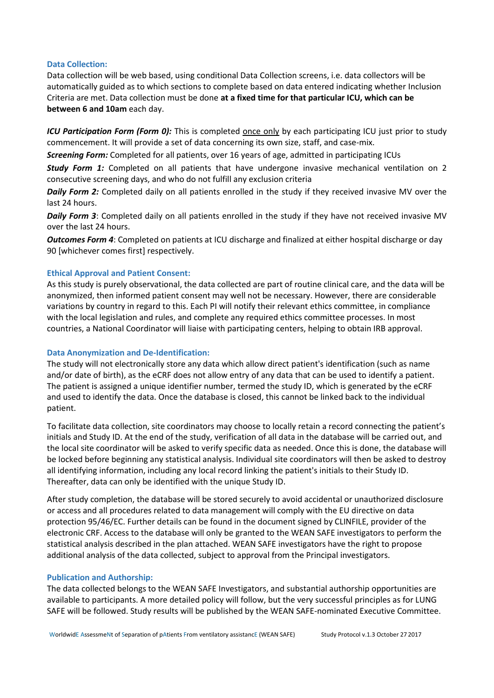#### **Data Collection:**

Data collection will be web based, using conditional Data Collection screens, i.e. data collectors will be automatically guided as to which sections to complete based on data entered indicating whether Inclusion Criteria are met. Data collection must be done **at a fixed time for that particular ICU, which can be between 6 and 10am** each day.

*ICU Participation Form (Form 0):* This is completed **once only** by each participating ICU just prior to study commencement. It will provide a set of data concerning its own size, staff, and case-mix.

*Screening Form:* Completed for all patients, over 16 years of age, admitted in participating ICUs

*Study Form 1:* Completed on all patients that have undergone invasive mechanical ventilation on 2 consecutive screening days, and who do not fulfill any exclusion criteria

*Daily Form 2:* Completed daily on all patients enrolled in the study if they received invasive MV over the last 24 hours.

*Daily Form 3*: Completed daily on all patients enrolled in the study if they have not received invasive MV over the last 24 hours.

*Outcomes Form 4*: Completed on patients at ICU discharge and finalized at either hospital discharge or day 90 [whichever comes first] respectively.

# **Ethical Approval and Patient Consent:**

As this study is purely observational, the data collected are part of routine clinical care, and the data will be anonymized, then informed patient consent may well not be necessary. However, there are considerable variations by country in regard to this. Each PI will notify their relevant ethics committee, in compliance with the local legislation and rules, and complete any required ethics committee processes. In most countries, a National Coordinator will liaise with participating centers, helping to obtain IRB approval.

## **Data Anonymization and De-Identification:**

The study will not electronically store any data which allow direct patient's identification (such as name and/or date of birth), as the eCRF does not allow entry of any data that can be used to identify a patient. The patient is assigned a unique identifier number, termed the study ID, which is generated by the eCRF and used to identify the data. Once the database is closed, this cannot be linked back to the individual patient.

To facilitate data collection, site coordinators may choose to locally retain a record connecting the patient's initials and Study ID. At the end of the study, verification of all data in the database will be carried out, and the local site coordinator will be asked to verify specific data as needed. Once this is done, the database will be locked before beginning any statistical analysis. Individual site coordinators will then be asked to destroy all identifying information, including any local record linking the patient's initials to their Study ID. Thereafter, data can only be identified with the unique Study ID.

After study completion, the database will be stored securely to avoid accidental or unauthorized disclosure or access and all procedures related to data management will comply with the EU directive on data protection 95/46/EC. Further details can be found in the document signed by CLINFILE, provider of the electronic CRF. Access to the database will only be granted to the WEAN SAFE investigators to perform the statistical analysis described in the plan attached. WEAN SAFE investigators have the right to propose additional analysis of the data collected, subject to approval from the Principal investigators.

#### **Publication and Authorship:**

The data collected belongs to the WEAN SAFE Investigators, and substantial authorship opportunities are available to participants. A more detailed policy will follow, but the very successful principles as for LUNG SAFE will be followed. Study results will be published by the WEAN SAFE-nominated Executive Committee.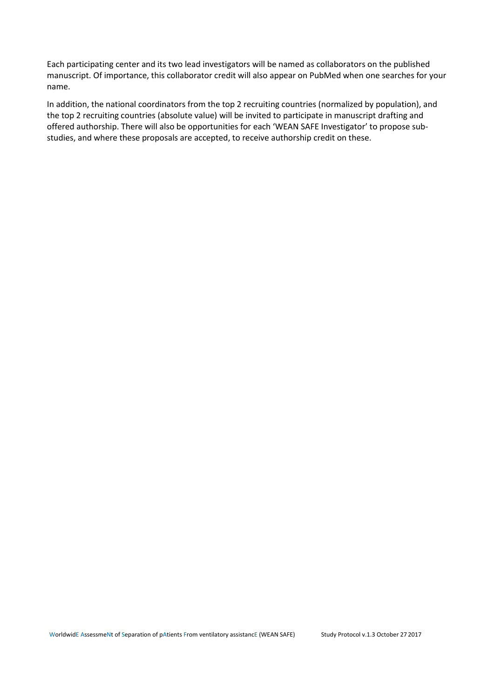Each participating center and its two lead investigators will be named as collaborators on the published manuscript. Of importance, this collaborator credit will also appear on PubMed when one searches for your name.

In addition, the national coordinators from the top 2 recruiting countries (normalized by population), and the top 2 recruiting countries (absolute value) will be invited to participate in manuscript drafting and offered authorship. There will also be opportunities for each 'WEAN SAFE Investigator' to propose substudies, and where these proposals are accepted, to receive authorship credit on these.